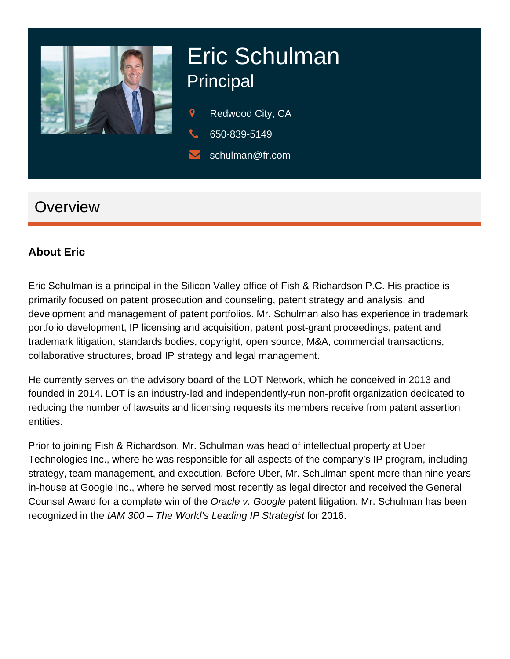

# Eric Schulman **Principal**

- Redwood City, CA
- 650-839-5149
- schulman@fr.com

## **Overview**

#### **About Eric**

Eric Schulman is a principal in the Silicon Valley office of Fish & Richardson P.C. His practice is primarily focused on patent prosecution and counseling, patent strategy and analysis, and development and management of patent portfolios. Mr. Schulman also has experience in trademark portfolio development, IP licensing and acquisition, patent post-grant proceedings, patent and trademark litigation, standards bodies, copyright, open source, M&A, commercial transactions, collaborative structures, broad IP strategy and legal management.

He currently serves on the advisory board of the LOT Network, which he conceived in 2013 and founded in 2014. LOT is an industry-led and independently-run non-profit organization dedicated to reducing the number of lawsuits and licensing requests its members receive from patent assertion entities.

Prior to joining Fish & Richardson, Mr. Schulman was head of intellectual property at Uber Technologies Inc., where he was responsible for all aspects of the company's IP program, including strategy, team management, and execution. Before Uber, Mr. Schulman spent more than nine years in-house at Google Inc., where he served most recently as legal director and received the General Counsel Award for a complete win of the Oracle v. Google patent litigation. Mr. Schulman has been recognized in the IAM 300 – The World's Leading IP Strategist for 2016.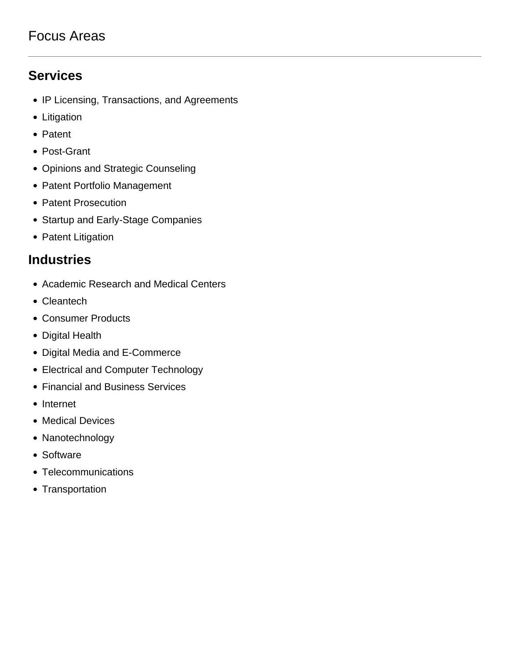### Focus Areas

### **Services**

- IP Licensing, Transactions, and Agreements
- Litigation
- Patent
- Post-Grant
- Opinions and Strategic Counseling
- Patent Portfolio Management
- Patent Prosecution
- Startup and Early-Stage Companies
- Patent Litigation

#### **Industries**

- Academic Research and Medical Centers
- Cleantech
- Consumer Products
- Digital Health
- Digital Media and E-Commerce
- Electrical and Computer Technology
- Financial and Business Services
- Internet
- Medical Devices
- Nanotechnology
- Software
- Telecommunications
- Transportation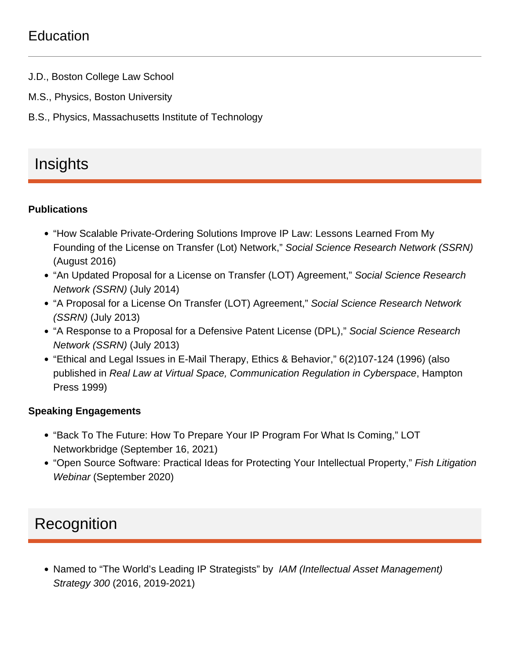## **Education**

- J.D., Boston College Law School
- M.S., Physics, Boston University
- B.S., Physics, Massachusetts Institute of Technology

# Insights

**Publications** 

- "How Scalable Private-Ordering Solutions Improve IP Law: Lessons Learned From My [Founding of the License on Transfer \(Lot\) Network](http://ssrn.com/abstract=2827904)," Social Science Research Network (SSRN) (August 2016)
- ["An Updated Proposal for a License on Transfer \(LOT\) Agreement](http://papers.ssrn.com/sol3/papers.cfm?abstract_id=2463660)," Social Science Research Network (SSRN) (July 2014)
- ["A Proposal for a License On Transfer \(LOT\) Agreement,](http://papers.ssrn.com/sol3/papers.cfm?abstract_id=2224355)" Social Science Research Network (SSRN) (July 2013)
- ["A Response to a Proposal for a Defensive Patent License \(DPL\),](http://papers.ssrn.com/sol3/papers.cfm?abstract_id=2054314)" Social Science Research Network (SSRN) (July 2013)
- "Ethical and Legal Issues in E-Mail Therapy, Ethics & Behavior," 6(2)107-124 (1996) (also published in Real Law at Virtual Space, Communication Regulation in Cyberspace, Hampton Press 1999)

Speaking Engagements

- "Back To The Future: How To Prepare Your IP Program For What Is Coming," LOT Networkbridge (September 16, 2021)
- ["Open Source Software: Practical Ideas for Protecting Your Intellectual Property,"](https://www.fr.com/?p=94982) Fish Litigation Webinar (September 2020)

## **Recognition**

• Named to "The World's Leading IP Strategists" by IAM (Intellectual Asset Management) Strategy 300 (2016, 2019-2021)